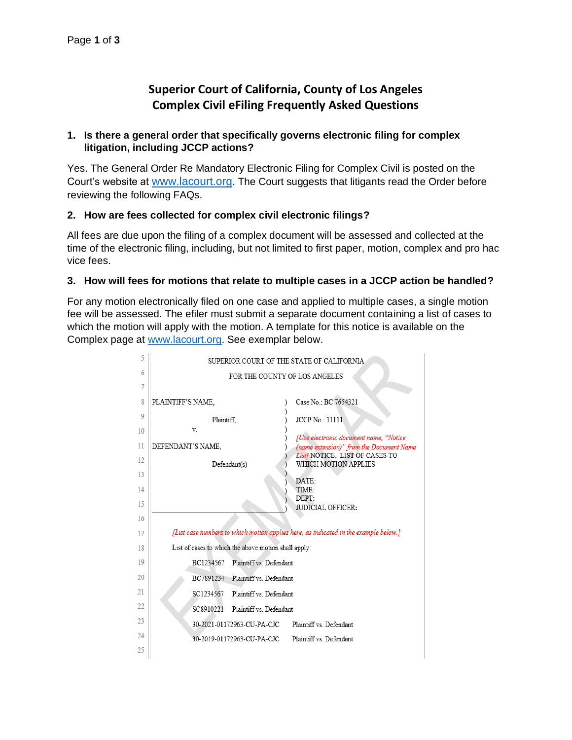# **Superior Court of California, County of Los Angeles Complex Civil eFiling Frequently Asked Questions**

# **1. Is there a general order that specifically governs electronic filing for complex litigation, including JCCP actions?**

Yes. The General Order Re Mandatory Electronic Filing for Complex Civil is posted on the Court's website at [www.lacourt.org](http://www.lacourt.org/). The Court suggests that litigants read the Order before reviewing the following FAQs.

### **2. How are fees collected for complex civil electronic filings?**

All fees are due upon the filing of a complex document will be assessed and collected at the time of the electronic filing, including, but not limited to first paper, motion, complex and pro hac vice fees.

### **3. How will fees for motions that relate to multiple cases in a JCCP action be handled?**

For any motion electronically filed on one case and applied to multiple cases, a single motion fee will be assessed. The efiler must submit a separate document containing a list of cases to which the motion will apply with the motion. A template for this notice is available on the Complex page at [www.lacourt.org.](http://www.lacourt.org/) See exemplar below.

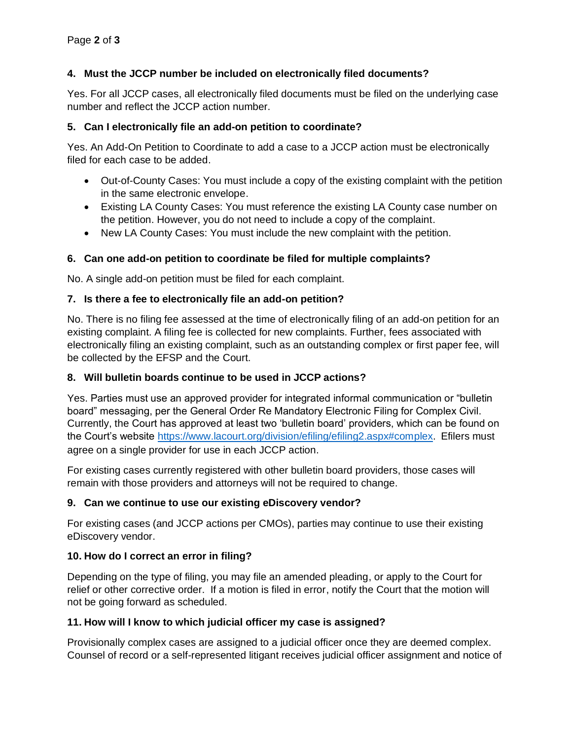### **4. Must the JCCP number be included on electronically filed documents?**

Yes. For all JCCP cases, all electronically filed documents must be filed on the underlying case number and reflect the JCCP action number.

#### **5. Can I electronically file an add-on petition to coordinate?**

Yes. An Add-On Petition to Coordinate to add a case to a JCCP action must be electronically filed for each case to be added.

- Out-of-County Cases: You must include a copy of the existing complaint with the petition in the same electronic envelope.
- Existing LA County Cases: You must reference the existing LA County case number on the petition. However, you do not need to include a copy of the complaint.
- New LA County Cases: You must include the new complaint with the petition.

# **6. Can one add-on petition to coordinate be filed for multiple complaints?**

No. A single add-on petition must be filed for each complaint.

#### **7. Is there a fee to electronically file an add-on petition?**

No. There is no filing fee assessed at the time of electronically filing of an add-on petition for an existing complaint. A filing fee is collected for new complaints. Further, fees associated with electronically filing an existing complaint, such as an outstanding complex or first paper fee, will be collected by the EFSP and the Court.

#### **8. Will bulletin boards continue to be used in JCCP actions?**

Yes. Parties must use an approved provider for integrated informal communication or "bulletin board" messaging, per the General Order Re Mandatory Electronic Filing for Complex Civil. Currently, the Court has approved at least two 'bulletin board' providers, which can be found on the Court's website [https://www.lacourt.org/division/efiling/efiling2.aspx#complex.](https://www.lacourt.org/division/efiling/efiling2.aspx#complex) Efilers must agree on a single provider for use in each JCCP action.

For existing cases currently registered with other bulletin board providers, those cases will remain with those providers and attorneys will not be required to change.

# **9. Can we continue to use our existing eDiscovery vendor?**

For existing cases (and JCCP actions per CMOs), parties may continue to use their existing eDiscovery vendor.

#### **10. How do I correct an error in filing?**

Depending on the type of filing, you may file an amended pleading, or apply to the Court for relief or other corrective order. If a motion is filed in error, notify the Court that the motion will not be going forward as scheduled.

#### **11. How will I know to which judicial officer my case is assigned?**

Provisionally complex cases are assigned to a judicial officer once they are deemed complex. Counsel of record or a self-represented litigant receives judicial officer assignment and notice of